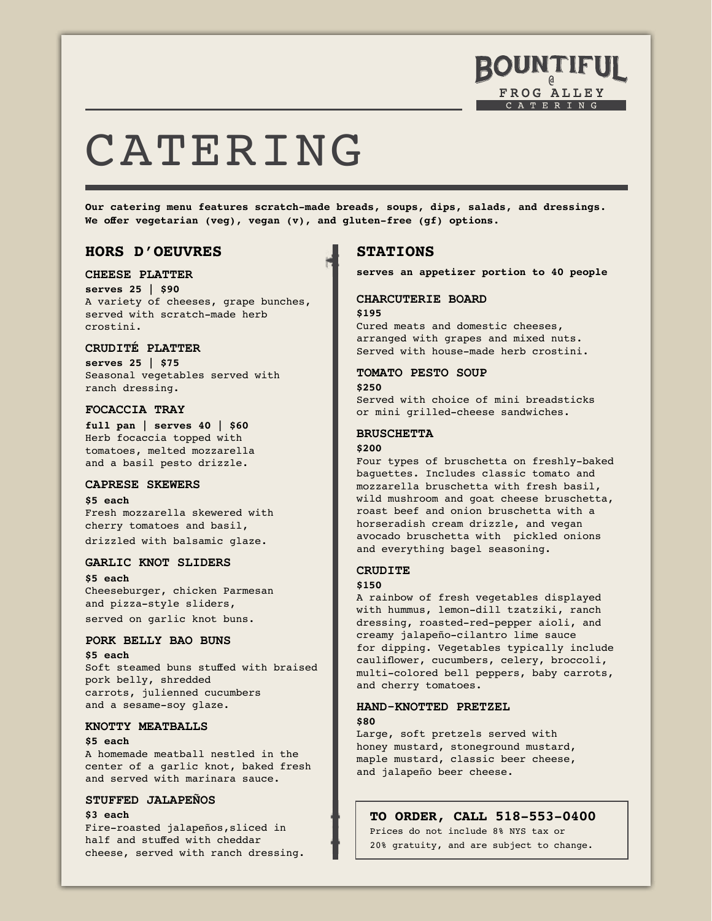

# CATERING

**Our catering menu features scratch-made breads, soups, dips, salads, and dressings. We offer vegetarian (veg), vegan (v), and gluten-free (gf) options.**

# **HORS D'OEUVRES**

# **CHEESE PLATTER**

**serves 25 | \$90** A variety of cheeses, grape bunches, served with scratch-made herb crostini.

# **CRUDITÉ PLATTER**

**serves 25 | \$75** Seasonal vegetables served with ranch dressing.

#### **FOCACCIA TRAY**

**full pan | serves 40 | \$60** Herb focaccia topped with tomatoes, melted mozzarella and a basil pesto drizzle.

#### **CAPRESE SKEWERS**

#### **\$5 each**

Fresh mozzarella skewered with cherry tomatoes and basil, drizzled with balsamic glaze.

# **GARLIC KNOT SLIDERS**

**\$5 each** Cheeseburger, chicken Parmesan and pizza-style sliders, served on garlic knot buns.

# **PORK BELLY BAO BUNS**

**\$5 each** Soft steamed buns stuffed with braised pork belly, shredded carrots, julienned cucumbers and a sesame-soy glaze.

#### **KNOTTY MEATBALLS**

**\$5 each** A homemade meatball nestled in the center of a garlic knot, baked fresh and served with marinara sauce.

# **STUFFED JALAPEÑOS**

#### **\$3 each**

Fire-roasted jalapeños,sliced in half and stuffed with cheddar cheese, served with ranch dressing.

# **STATIONS**

**serves an appetizer portion to 40 people**

#### **CHARCUTERIE BOARD \$195**

Cured meats and domestic cheeses, arranged with grapes and mixed nuts. Served with house-made herb crostini.

# **TOMATO PESTO SOUP**

**\$250** Served with choice of mini breadsticks or mini grilled-cheese sandwiches.

#### **BRUSCHETTA**

#### **\$200**

Four types of bruschetta on freshly-baked baguettes. Includes classic tomato and mozzarella bruschetta with fresh basil, wild mushroom and goat cheese bruschetta, roast beef and onion bruschetta with a horseradish cream drizzle, and vegan avocado bruschetta with pickled onions and everything bagel seasoning.

# **CRUDITE**

#### **\$150**

A rainbow of fresh vegetables displayed with hummus, lemon-dill tzatziki, ranch dressing, roasted-red-pepper aioli, and creamy jalapeño-cilantro lime sauce for dipping. Vegetables typically include cauliflower, cucumbers, celery, broccoli, multi-colored bell peppers, baby carrots, and cherry tomatoes.

#### **HAND-KNOTTED PRETZEL \$80**

Large, soft pretzels served with honey mustard, stoneground mustard, maple mustard, classic beer cheese, and jalapeño beer cheese.

# **TO ORDER, CALL 518-553-0400**

Prices do not include 8% NYS tax or 20% gratuity, and are subject to change.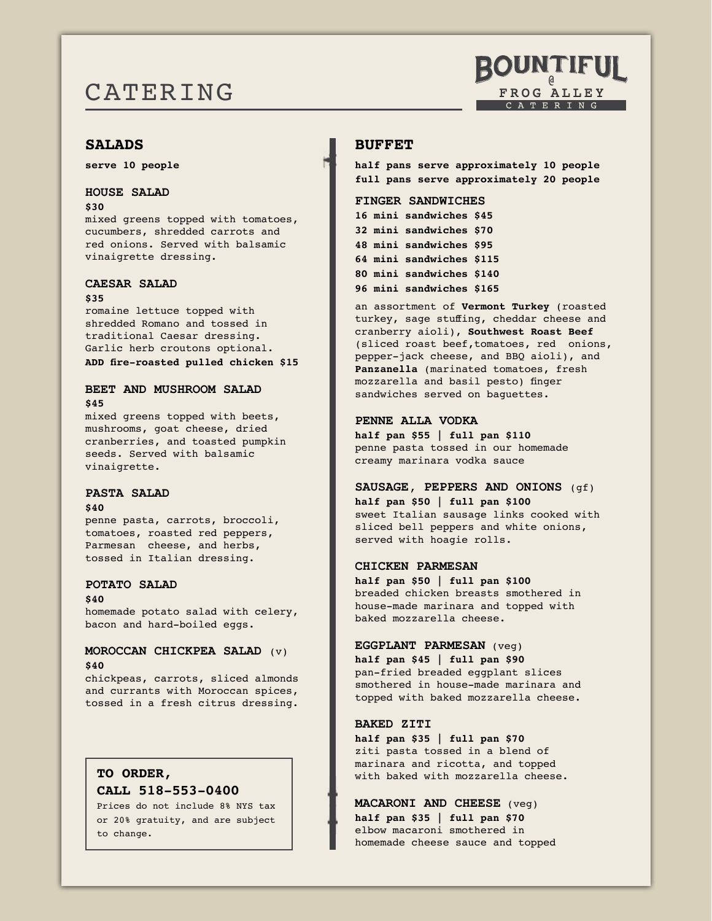# CATERING

# **SALADS**

**serve 10 people**

# **HOUSE SALAD**

#### **\$30**

mixed greens topped with tomatoes, cucumbers, shredded carrots and red onions. Served with balsamic vinaigrette dressing.

# **CAESAR SALAD**

#### **\$35**

romaine lettuce topped with shredded Romano and tossed in traditional Caesar dressing. Garlic herb croutons optional. **ADD fire-roasted pulled chicken \$15**

# **BEET AND MUSHROOM SALAD \$45**

mixed greens topped with beets, mushrooms, goat cheese, dried cranberries, and toasted pumpkin seeds. Served with balsamic vinaigrette.

# **PASTA SALAD**

#### **\$40**

penne pasta, carrots, broccoli, tomatoes, roasted red peppers, Parmesan cheese, and herbs, tossed in Italian dressing.

#### **POTATO SALAD**

#### **\$40**

homemade potato salad with celery, bacon and hard-boiled eggs.

# **MOROCCAN CHICKPEA SALAD** (v) **\$40**

chickpeas, carrots, sliced almonds and currants with Moroccan spices, tossed in a fresh citrus dressing.

# **TO ORDER,**

# **CALL 518-553-0400**

Prices do not include 8% NYS tax or 20% gratuity, and are subject to change.

# **BUFFET**

**half pans serve approximately 10 people full pans serve approximately 20 people**

# **FINGER SANDWICHES**

**16 mini sandwiches \$45 32 mini sandwiches \$70 48 mini sandwiches \$95 64 mini sandwiches \$115 80 mini sandwiches \$140 96 mini sandwiches \$165**

an assortment of **Vermont Turkey** (roasted turkey, sage stuffing, cheddar cheese and cranberry aioli), **Southwest Roast Beef** (sliced roast beef,tomatoes, red onions, pepper-jack cheese, and BBQ aioli), and **Panzanella** (marinated tomatoes, fresh mozzarella and basil pesto) finger sandwiches served on baguettes.

#### **PENNE ALLA VODKA**

**half pan \$55 | full pan \$110** penne pasta tossed in our homemade creamy marinara vodka sauce

**SAUSAGE, PEPPERS AND ONIONS** (gf) **half pan \$50 | full pan \$100** sweet Italian sausage links cooked with sliced bell peppers and white onions, served with hoagie rolls.

#### **CHICKEN PARMESAN**

**half pan \$50 | full pan \$100** breaded chicken breasts smothered in house-made marinara and topped with baked mozzarella cheese.

# **EGGPLANT PARMESAN** (veg)

**half pan \$45 | full pan \$90** pan-fried breaded eggplant slices smothered in house-made marinara and topped with baked mozzarella cheese.

# **BAKED ZITI**

**half pan \$35 | full pan \$70** ziti pasta tossed in a blend of marinara and ricotta, and topped with baked with mozzarella cheese.

**MACARONI AND CHEESE** (veg) **half pan \$35 | full pan \$70** elbow macaroni smothered in homemade cheese sauce and topped